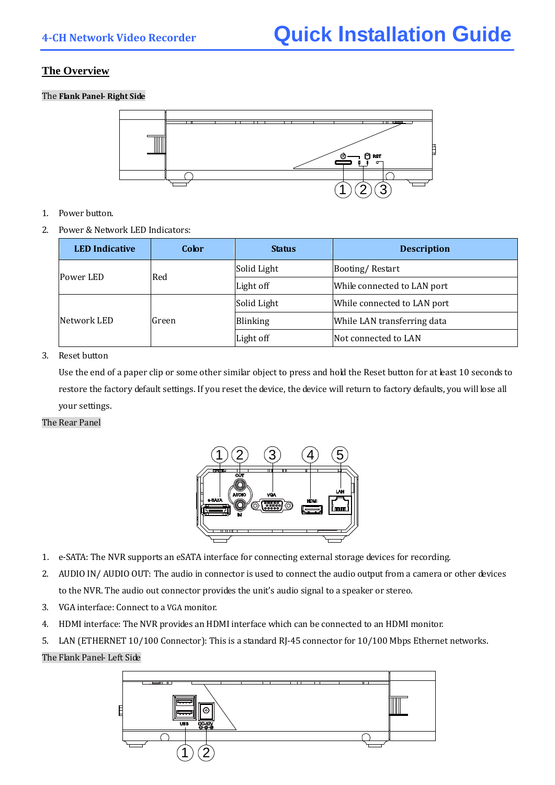# **The Overview**

The **Flank Panel Right Side**



- 1. Power button.
- 2. Power & Network LED Indicators:

| <b>LED</b> Indicative | Color | <b>Status</b> | <b>Description</b>          |  |  |  |  |
|-----------------------|-------|---------------|-----------------------------|--|--|--|--|
| Power LED             | Red   | Solid Light   | Booting/Restart             |  |  |  |  |
|                       |       | Light off     | While connected to LAN port |  |  |  |  |
|                       |       | Solid Light   | While connected to LAN port |  |  |  |  |
| Network LED           | Green | Blinking      | While LAN transferring data |  |  |  |  |
|                       |       | Light off     | Not connected to LAN        |  |  |  |  |

## 3. Reset button

Use the end of a paper clip or some other similar object to press and hold the Reset button for at least 10 seconds to restore the factory default settings. If you reset the device, the device will return to factory defaults, you will lose all your settings.

## The Rear Panel



- 1. e‐SATA: The NVR supports an eSATA interface for connecting external storage devices for recording.
- 2. AUDIO IN/ AUDIO OUT: The audio in connector is used to connect the audio output from a camera or other devices to the NVR. The audio out connector provides the unit's audio signal to a speaker or stereo.
- 3. VGA interface: Connect to a VGA monitor.
- 4. HDMI interface: The NVR provides an HDMI interface which can be connected to an HDMI monitor.
- 5. LAN (ETHERNET 10/100 Connector): This is a standard RJ-45 connector for 10/100 Mbps Ethernet networks.

## The Flank Panel‐ Left Side

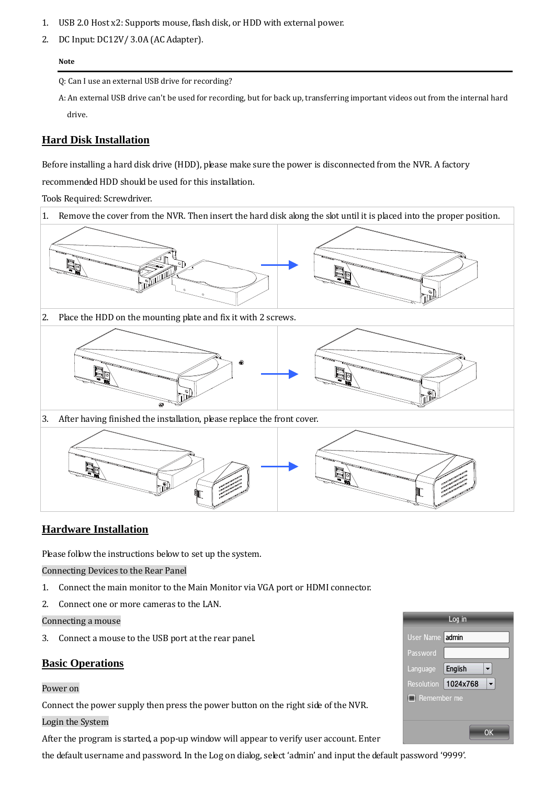- 1. USB 2.0 Host x2: Supports mouse, flas h disk, or HDD with external power.
- 2. DC Input: DC12V/ 3.0A (AC Adapter).

#### **Note**

Q: Can I use an external USB drive for recording?

A: An external USB drive can't be used for recording, but for back up, transferring important videos out from the internal hard drive.

## **Hard Disk Installation**

Before installing a hard disk drive (HDD), please make sure the power is disconnected from the NVR. A factory recommended HDD should be used for this installation.

Tools Required: Screwdriver.





## **Hardware Installation**

Please follow the instructions below to set up the system.

Connecting Devices to the Rear Panel

- 1. Connect the main monitor to the Main Monitor via VGA port or HDMI connector.
- 2. Connect one or more cameras to the LAN.

Connecting a mouse

3. Connect a mouse to the USB port at the rear panel.

## **Basic Operations**

### Power on

Connect the power supply then press the power button on the right side of the NVR.

### Login the System

After the program is started, a pop‐up window will appear to verify user account. Enter

the default username and password. In the Log on dialog, select 'admin' and input the default password '9999'.